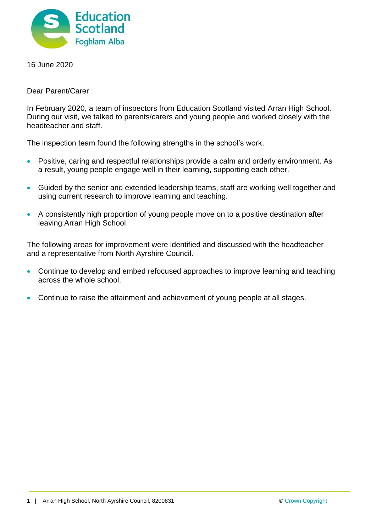

16 June 2020

Dear Parent/Carer

In February 2020, a team of inspectors from Education Scotland visited Arran High School. During our visit, we talked to parents/carers and young people and worked closely with the headteacher and staff.

The inspection team found the following strengths in the school's work.

- Positive, caring and respectful relationships provide a calm and orderly environment. As a result, young people engage well in their learning, supporting each other.
- Guided by the senior and extended leadership teams, staff are working well together and using current research to improve learning and teaching.
- A consistently high proportion of young people move on to a positive destination after leaving Arran High School.

The following areas for improvement were identified and discussed with the headteacher and a representative from North Ayrshire Council.

- Continue to develop and embed refocused approaches to improve learning and teaching across the whole school.
- Continue to raise the attainment and achievement of young people at all stages.